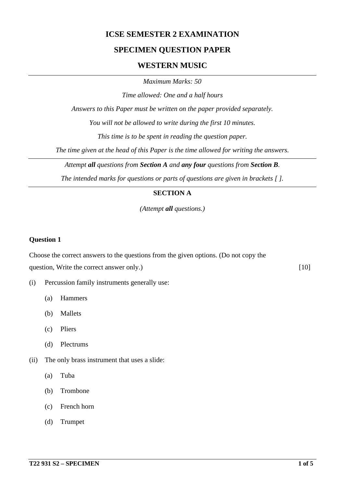## **ICSE SEMESTER 2 EXAMINATION**

## **SPECIMEN QUESTION PAPER**

## **WESTERN MUSIC**

*Maximum Marks: 50*

*Time allowed: One and a half hours*

*Answers to this Paper must be written on the paper provided separately.*

*You will not be allowed to write during the first 10 minutes.*

*This time is to be spent in reading the question paper.*

*The time given at the head of this Paper is the time allowed for writing the answers.*

*Attempt all questions from Section A and any four questions from Section B.*

*The intended marks for questions or parts of questions are given in brackets [ ].*

### **SECTION A**

*(Attempt all questions.)*

#### **Question 1**

Choose the correct answers to the questions from the given options. (Do not copy the question, Write the correct answer only.) [10]

- (i) Percussion family instruments generally use:
	- (a) Hammers
	- (b) Mallets
	- (c) Pliers
	- (d) Plectrums
- (ii) The only brass instrument that uses a slide:
	- (a) Tuba
	- (b) Trombone
	- (c) French horn
	- (d) Trumpet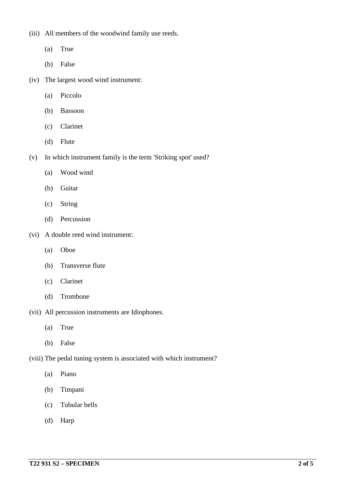(iii) All members of the woodwind family use reeds.

- (a) True
- (b) False
- (iv) The largest wood wind instrument:
	- (a) Piccolo
	- (b) Bassoon
	- (c) Clarinet
	- (d) Flute
- (v) In which instrument family is the term 'Striking spot' used?
	- (a) Wood wind
	- (b) Guitar
	- (c) String
	- (d) Percussion
- (vi) A double reed wind instrument:
	- (a) Oboe
	- (b) Transverse flute
	- (c) Clarinet
	- (d) Trombone
- (vii) All percussion instruments are Idiophones.
	- (a) True
	- (b) False
- (viii) The pedal tuning system is associated with which instrument?
	- (a) Piano
	- (b) Timpani
	- (c) Tubular bells
	- (d) Harp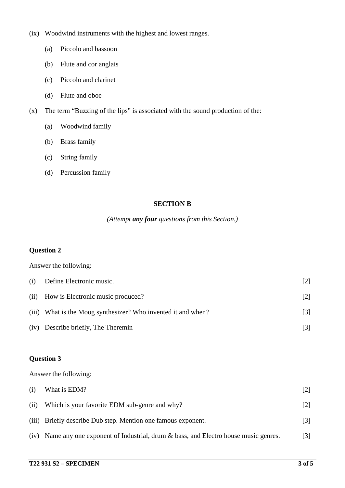- (ix) Woodwind instruments with the highest and lowest ranges.
	- (a) Piccolo and bassoon
	- (b) Flute and cor anglais
	- (c) Piccolo and clarinet
	- (d) Flute and oboe
- (x) The term "Buzzing of the lips" is associated with the sound production of the:
	- (a) Woodwind family
	- (b) Brass family
	- (c) String family
	- (d) Percussion family

## **SECTION B**

### *(Attempt any four questions from this Section.)*

#### **Question 2**

Answer the following:

| (i) | Define Electronic music.                                      | 121   |
|-----|---------------------------------------------------------------|-------|
|     | (ii) How is Electronic music produced?                        | 2     |
|     | (iii) What is the Moog synthesizer? Who invented it and when? | $[3]$ |
|     | (iv) Describe briefly, The Theremin                           |       |

## **Question 3**

Answer the following:

| (i)  | What is EDM?                                                                           |                   |
|------|----------------------------------------------------------------------------------------|-------------------|
| (ii) | Which is your favorite EDM sub-genre and why?                                          | 2                 |
|      | (iii) Briefly describe Dub step. Mention one famous exponent.                          | $\lceil 3 \rceil$ |
|      | (iv) Name any one exponent of Industrial, drum & bass, and Electro house music genres. | $\lceil 3 \rceil$ |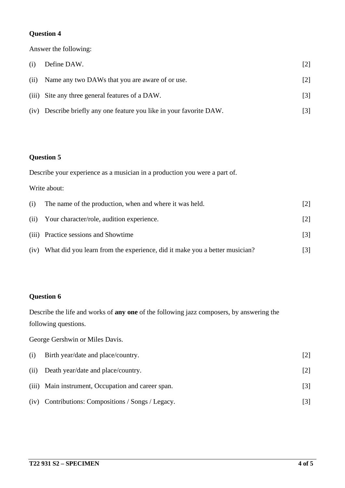### **Question 4**

Answer the following:

| (i) | Define DAW.                                                          | [2]               |
|-----|----------------------------------------------------------------------|-------------------|
|     | (ii) Name any two DAWs that you are aware of or use.                 | [2]               |
|     | (iii) Site any three general features of a DAW.                      | $\lceil 3 \rceil$ |
|     | (iv) Describe briefly any one feature you like in your favorite DAW. | [3]               |

# **Question 5**

|      | Describe your experience as a musician in a production you were a part of. |                   |  |
|------|----------------------------------------------------------------------------|-------------------|--|
|      | Write about:                                                               |                   |  |
| (i)  | The name of the production, when and where it was held.                    | $\lceil 2 \rceil$ |  |
| (ii) | Your character/role, audition experience.                                  | $\lceil 2 \rceil$ |  |
|      | (iii) Practice sessions and Showtime                                       | [3]               |  |
| (iv) | What did you learn from the experience, did it make you a better musician? | [3]               |  |

# **Question 6**

Describe the life and works of **any one** of the following jazz composers, by answering the following questions.

George Gershwin or Miles Davis.

| (i)  | Birth year/date and place/country.                 |     |
|------|----------------------------------------------------|-----|
| (ii) | Death year/date and place/country.                 |     |
|      | (iii) Main instrument, Occupation and career span. | [3] |
|      | (iv) Contributions: Compositions / Songs / Legacy. |     |